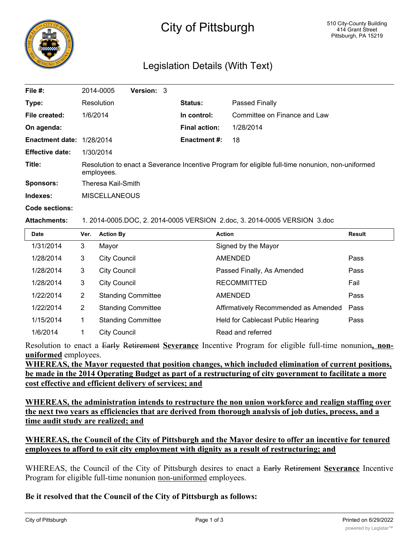

# City of Pittsburgh

## Legislation Details (With Text)

| File #:                   | 2014-0005                                                                                                      | Version: 3 |                      |                              |  |
|---------------------------|----------------------------------------------------------------------------------------------------------------|------------|----------------------|------------------------------|--|
| Type:                     | Resolution                                                                                                     |            | Status:              | Passed Finally               |  |
| File created:             | 1/6/2014                                                                                                       |            | In control:          | Committee on Finance and Law |  |
| On agenda:                |                                                                                                                |            | <b>Final action:</b> | 1/28/2014                    |  |
| Enactment date: 1/28/2014 |                                                                                                                |            | <b>Enactment #:</b>  | 18                           |  |
| <b>Effective date:</b>    | 1/30/2014                                                                                                      |            |                      |                              |  |
| Title:                    | Resolution to enact a Severance Incentive Program for eligible full-time nonunion, non-uniformed<br>employees. |            |                      |                              |  |
| Sponsors:                 | Theresa Kail-Smith                                                                                             |            |                      |                              |  |
| Indexes:                  | <b>MISCELLANEOUS</b>                                                                                           |            |                      |                              |  |

**Code sections:**

#### **Attachments:** 1. 2014-0005.DOC, 2. 2014-0005 VERSION 2.doc, 3. 2014-0005 VERSION 3.doc

| <b>Date</b> | Ver.           | <b>Action By</b>          | <b>Action</b>                        | <b>Result</b> |
|-------------|----------------|---------------------------|--------------------------------------|---------------|
| 1/31/2014   | 3              | Mayor                     | Signed by the Mayor                  |               |
| 1/28/2014   | 3              | <b>City Council</b>       | AMENDED                              | Pass          |
| 1/28/2014   | 3              | <b>City Council</b>       | Passed Finally, As Amended           | Pass          |
| 1/28/2014   | 3              | <b>City Council</b>       | <b>RECOMMITTED</b>                   | Fail          |
| 1/22/2014   | $\overline{2}$ | <b>Standing Committee</b> | <b>AMENDED</b>                       | Pass          |
| 1/22/2014   | $\overline{2}$ | <b>Standing Committee</b> | Affirmatively Recommended as Amended | Pass          |
| 1/15/2014   |                | <b>Standing Committee</b> | Held for Cablecast Public Hearing    | Pass          |
| 1/6/2014    |                | City Council              | Read and referred                    |               |

Resolution to enact a Early Retirement **Severance** Incentive Program for eligible full-time nonunion**, nonuniformed** employees.

**WHEREAS, the Mayor requested that position changes, which included elimination of current positions, be made in the 2014 Operating Budget as part of a restructuring of city government to facilitate a more cost effective and efficient delivery of services; and**

**WHEREAS, the administration intends to restructure the non union workforce and realign staffing over the next two years as efficiencies that are derived from thorough analysis of job duties, process, and a time audit study are realized; and**

#### **WHEREAS, the Council of the City of Pittsburgh and the Mayor desire to offer an incentive for tenured employees to afford to exit city employment with dignity as a result of restructuring; and**

WHEREAS, the Council of the City of Pittsburgh desires to enact a Early Retirement **Severance** Incentive Program for eligible full-time nonunion non-uniformed employees.

#### **Be it resolved that the Council of the City of Pittsburgh as follows:**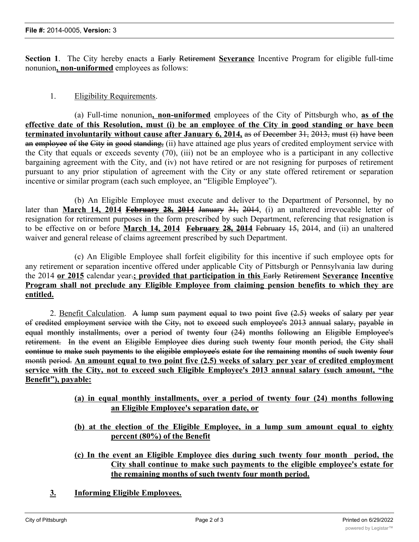**Section 1**. The City hereby enacts a Early Retirement **Severance** Incentive Program for eligible full-time nonunion**, non-uniformed** employees as follows:

### 1. Eligibility Requirements.

(a) Full-time nonunion**, non-uniformed** employees of the City of Pittsburgh who, **as of the** effective date of this Resolution, must (i) be an employee of the City in good standing or have been **terminated involuntarily without cause after January 6, 2014,** as of December 31, 2013, must (i) have been an employee of the City in good standing, (ii) have attained age plus years of credited employment service with the City that equals or exceeds seventy (70), (iii) not be an employee who is a participant in any collective bargaining agreement with the City, and (iv) not have retired or are not resigning for purposes of retirement pursuant to any prior stipulation of agreement with the City or any state offered retirement or separation incentive or similar program (each such employee, an "Eligible Employee").

(b) An Eligible Employee must execute and deliver to the Department of Personnel, by no later than **March 14, 2014 February 28, 2014** January 31, 2014, (i) an unaltered irrevocable letter of resignation for retirement purposes in the form prescribed by such Department, referencing that resignation is to be effective on or before **March 14, 2014 February 28, 2014** February 15, 2014, and (ii) an unaltered waiver and general release of claims agreement prescribed by such Department.

(c) An Eligible Employee shall forfeit eligibility for this incentive if such employee opts for any retirement or separation incentive offered under applicable City of Pittsburgh or Pennsylvania law during the 2014 **or 2015** calendar year.**; provided that participation in this** Early Retirement **Severance Incentive Program shall not preclude any Eligible Employee from claiming pension benefits to which they are entitled.**

2. Benefit Calculation. A lump sum payment equal to two point five  $(2.5)$  weeks of salary per year of credited employment service with the City, not to exceed such employee's 2013 annual salary, payable in equal monthly installments, over a period of twenty four (24) months following an Eligible Employee's retirement. In the event an Eligible Employee dies during such twenty four month period, the City shall continue to make such payments to the eligible employee's estate for the remaining months of such twenty four month period. **An amount equal to two point five (2.5) weeks of salary per year of credited employment service with the City, not to exceed such Eligible Employee's 2013 annual salary (such amount, "the Benefit"), payable:**

- **(a) in equal monthly installments, over a period of twenty four (24) months following an Eligible Employee's separation date, or**
- **(b) at the election of the Eligible Employee, in a lump sum amount equal to eighty percent (80%) of the Benefit**
- **(c) In the event an Eligible Employee dies during such twenty four month period, the City shall continue to make such payments to the eligible employee's estate for the remaining months of such twenty four month period.**

**The Department of Personnel ("Department") shall contact Eligible Employees upon the**

**3. Informing Eligible Employees.**